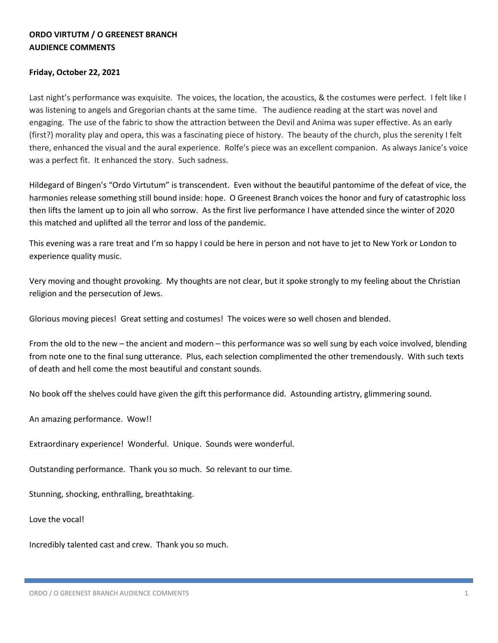## **ORDO VIRTUTM / O GREENEST BRANCH AUDIENCE COMMENTS**

## **Friday, October 22, 2021**

Last night's performance was exquisite. The voices, the location, the acoustics, & the costumes were perfect. I felt like I was listening to angels and Gregorian chants at the same time. The audience reading at the start was novel and engaging. The use of the fabric to show the attraction between the Devil and Anima was super effective. As an early (first?) morality play and opera, this was a fascinating piece of history. The beauty of the church, plus the serenity I felt there, enhanced the visual and the aural experience. Rolfe's piece was an excellent companion. As always Janice's voice was a perfect fit. It enhanced the story. Such sadness.

Hildegard of Bingen's "Ordo Virtutum" is transcendent. Even without the beautiful pantomime of the defeat of vice, the harmonies release something still bound inside: hope. O Greenest Branch voices the honor and fury of catastrophic loss then lifts the lament up to join all who sorrow. As the first live performance I have attended since the winter of 2020 this matched and uplifted all the terror and loss of the pandemic.

This evening was a rare treat and I'm so happy I could be here in person and not have to jet to New York or London to experience quality music.

Very moving and thought provoking. My thoughts are not clear, but it spoke strongly to my feeling about the Christian religion and the persecution of Jews.

Glorious moving pieces! Great setting and costumes! The voices were so well chosen and blended.

From the old to the new – the ancient and modern – this performance was so well sung by each voice involved, blending from note one to the final sung utterance. Plus, each selection complimented the other tremendously. With such texts of death and hell come the most beautiful and constant sounds.

No book off the shelves could have given the gift this performance did. Astounding artistry, glimmering sound.

An amazing performance. Wow!!

Extraordinary experience! Wonderful. Unique. Sounds were wonderful.

Outstanding performance. Thank you so much. So relevant to our time.

Stunning, shocking, enthralling, breathtaking.

Love the vocal!

Incredibly talented cast and crew. Thank you so much.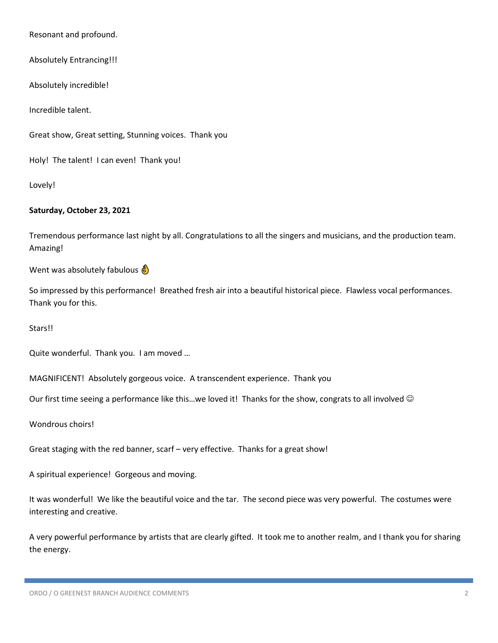Resonant and profound.

Absolutely Entrancing!!!

Absolutely incredible!

Incredible talent.

Great show, Great setting, Stunning voices. Thank you

Holy! The talent! I can even! Thank you!

Lovely!

## **Saturday, October 23, 2021**

Tremendous performance last night by all. Congratulations to all the singers and musicians, and the production team. Amazing!

Went was absolutely fabulous  $\frac{1}{b}$ 

So impressed by this performance! Breathed fresh air into a beautiful historical piece. Flawless vocal performances. Thank you for this.

Stars!!

Quite wonderful. Thank you. I am moved …

MAGNIFICENT! Absolutely gorgeous voice. A transcendent experience. Thank you

Our first time seeing a performance like this...we loved it! Thanks for the show, congrats to all involved  $\odot$ 

Wondrous choirs!

Great staging with the red banner, scarf – very effective. Thanks for a great show!

A spiritual experience! Gorgeous and moving.

It was wonderful! We like the beautiful voice and the tar. The second piece was very powerful. The costumes were interesting and creative.

A very powerful performance by artists that are clearly gifted. It took me to another realm, and I thank you for sharing the energy.